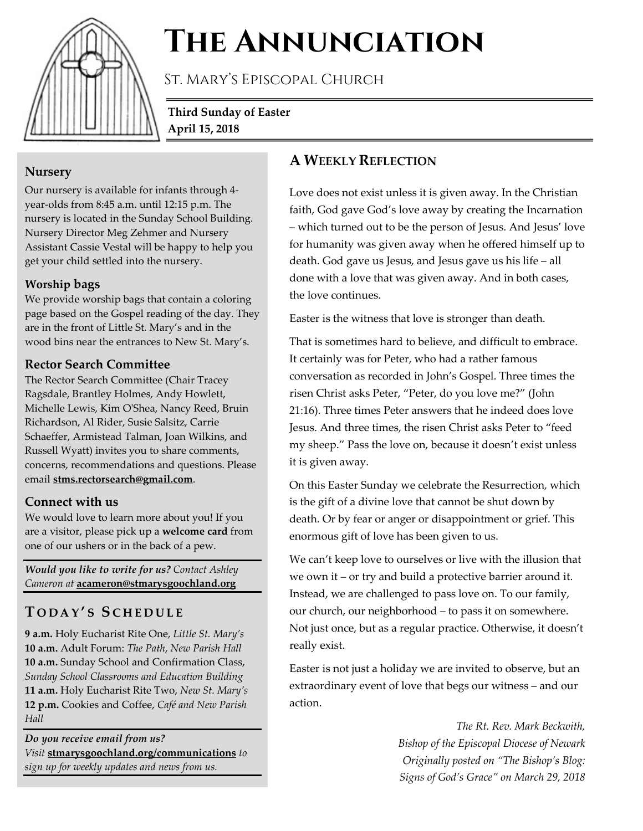

# **The Annunciation**

St. Mary's Episcopal Church

**Third Sunday of Easter April 15, 2018**

## **Nursery**

Our nursery is available for infants through 4 year-olds from 8:45 a.m. until 12:15 p.m. The nursery is located in the Sunday School Building. Nursery Director Meg Zehmer and Nursery Assistant Cassie Vestal will be happy to help you get your child settled into the nursery.

## **Worship bags**

We provide worship bags that contain a coloring page based on the Gospel reading of the day. They are in the front of Little St. Mary's and in the wood bins near the entrances to New St. Mary's.

#### **Rector Search Committee**

The Rector Search Committee (Chair Tracey Ragsdale, Brantley Holmes, Andy Howlett, Michelle Lewis, Kim O'Shea, Nancy Reed, Bruin Richardson, Al Rider, Susie Salsitz, Carrie Schaeffer, Armistead Talman, Joan Wilkins, and Russell Wyatt) invites you to share comments, concerns, recommendations and questions. Please email **stms.rectorsearch@gmail.com**.

## **Connect with us**

We would love to learn more about you! If you are a visitor, please pick up a **welcome card** from one of our ushers or in the back of a pew.

*Would you like to write for us? Contact Ashley Cameron at* **acameron@stmarysgoochland.org**

# **T ODAY ' S S CHEDULE**

**9 a.m.** Holy Eucharist Rite One, *Little St. Mary's* **10 a.m.** Adult Forum: *The Path*, *New Parish Hall* **10 a.m.** Sunday School and Confirmation Class, *Sunday School Classrooms and Education Building* **11 a.m.** Holy Eucharist Rite Two, *New St. Mary's* **12 p.m.** Cookies and Coffee, *Café and New Parish Hall*

*Do you receive email from us? Visit* **stmarysgoochland.org/communications** *to sign up for weekly updates and news from us.*

## **A WEEKLY REFLECTION**

Love does not exist unless it is given away. In the Christian faith, God gave God's love away by creating the Incarnation – which turned out to be the person of Jesus. And Jesus' love for humanity was given away when he offered himself up to death. God gave us Jesus, and Jesus gave us his life – all done with a love that was given away. And in both cases, the love continues.

Easter is the witness that love is stronger than death.

That is sometimes hard to believe, and difficult to embrace. It certainly was for Peter, who had a rather famous conversation as recorded in John's Gospel. Three times the risen Christ asks Peter, "Peter, do you love me?" (John 21:16). Three times Peter answers that he indeed does love Jesus. And three times, the risen Christ asks Peter to "feed my sheep." Pass the love on, because it doesn't exist unless it is given away.

On this Easter Sunday we celebrate the Resurrection, which is the gift of a divine love that cannot be shut down by death. Or by fear or anger or disappointment or grief. This enormous gift of love has been given to us.

We can't keep love to ourselves or live with the illusion that we own it – or try and build a protective barrier around it. Instead, we are challenged to pass love on. To our family, our church, our neighborhood – to pass it on somewhere. Not just once, but as a regular practice. Otherwise, it doesn't really exist.

Easter is not just a holiday we are invited to observe, but an extraordinary event of love that begs our witness – and our action.

> *The Rt. Rev. Mark Beckwith, Bishop of the Episcopal Diocese of Newark Originally posted on "The Bishop's Blog: Signs of God's Grace" on March 29, 2018*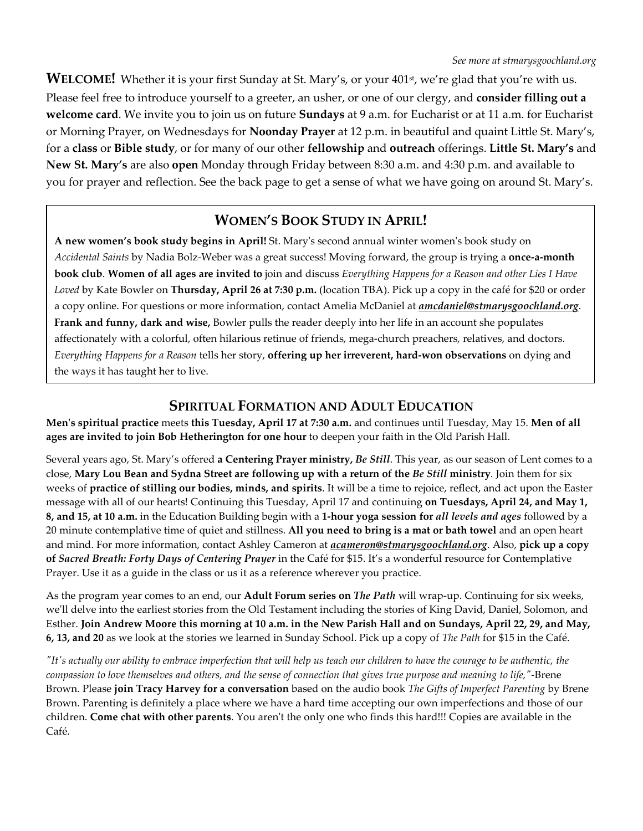WELCOME! Whether it is your first Sunday at St. Mary's, or your 401<sup>st</sup>, we're glad that you're with us. Please feel free to introduce yourself to a greeter, an usher, or one of our clergy, and **consider filling out a welcome card**. We invite you to join us on future **Sundays** at 9 a.m. for Eucharist or at 11 a.m. for Eucharist or Morning Prayer, on Wednesdays for **Noonday Prayer** at 12 p.m. in beautiful and quaint Little St. Mary's, for a **class** or **Bible study**, or for many of our other **fellowship** and **outreach** offerings. **Little St. Mary's** and **New St. Mary's** are also **open** Monday through Friday between 8:30 a.m. and 4:30 p.m. and available to you for prayer and reflection. See the back page to get a sense of what we have going on around St. Mary's.

## **WOMEN'S BOOK STUDY IN APRIL!**

**A new women's book study begins in April!** St. Mary's second annual winter women's book study on *Accidental Saints* by Nadia Bolz-Weber was a great success! Moving forward, the group is trying a **once-a-month book club**. **Women of all ages are invited to** join and discuss *Everything Happens for a Reason and other Lies I Have Loved* by Kate Bowler on **Thursday, April 26 at 7:30 p.m.** (location TBA). Pick up a copy in the café for \$20 or order a copy online. For questions or more information, contact Amelia McDaniel at *amcdaniel@stmarysgoochland.org*. **Frank and funny, dark and wise,** Bowler pulls the reader deeply into her life in an account she populates affectionately with a colorful, often hilarious retinue of friends, mega-church preachers, relatives, and doctors. *Everything Happens for a Reason* tells her story, **offering up her irreverent, hard-won observations** on dying and the ways it has taught her to live.

## **SPIRITUAL FORMATION AND ADULT EDUCATION**

**Men's spiritual practice** meets **this Tuesday, April 17 at 7:30 a.m.** and continues until Tuesday, May 15. **Men of all ages are invited to join Bob Hetherington for one hour** to deepen your faith in the Old Parish Hall.

Several years ago, St. Mary's offered **a Centering Prayer ministry,** *Be Still*. This year, as our season of Lent comes to a close, **Mary Lou Bean and Sydna Street are following up with a return of the** *Be Still* **ministry**. Join them for six weeks of **practice of stilling our bodies, minds, and spirits**. It will be a time to rejoice, reflect, and act upon the Easter message with all of our hearts! Continuing this Tuesday, April 17 and continuing **on Tuesdays, April 24, and May 1, 8, and 15, at 10 a.m.** in the Education Building begin with a **1-hour yoga session for** *all levels and ages* followed by a 20 minute contemplative time of quiet and stillness. **All you need to bring is a mat or bath towel** and an open heart and mind. For more information, contact Ashley Cameron at *acameron@stmarysgoochland.org*. Also, **pick up a copy of** *Sacred Breath: Forty Days of Centering Prayer* in the Café for \$15. It's a wonderful resource for Contemplative Prayer. Use it as a guide in the class or us it as a reference wherever you practice.

As the program year comes to an end, our **Adult Forum series on** *The Path* will wrap-up. Continuing for six weeks, we'll delve into the earliest stories from the Old Testament including the stories of King David, Daniel, Solomon, and Esther. **Join Andrew Moore this morning at 10 a.m. in the New Parish Hall and on Sundays, April 22, 29, and May, 6, 13, and 20** as we look at the stories we learned in Sunday School. Pick up a copy of *The Path* for \$15 in the Café.

*"It's actually our ability to embrace imperfection that will help us teach our children to have the courage to be authentic, the compassion to love themselves and others, and the sense of connection that gives true purpose and meaning to life,"*-Brene Brown. Please **join Tracy Harvey for a conversation** based on the audio book *The Gifts of Imperfect Parenting* by Brene Brown. Parenting is definitely a place where we have a hard time accepting our own imperfections and those of our children. **Come chat with other parents**. You aren't the only one who finds this hard!!! Copies are available in the Café.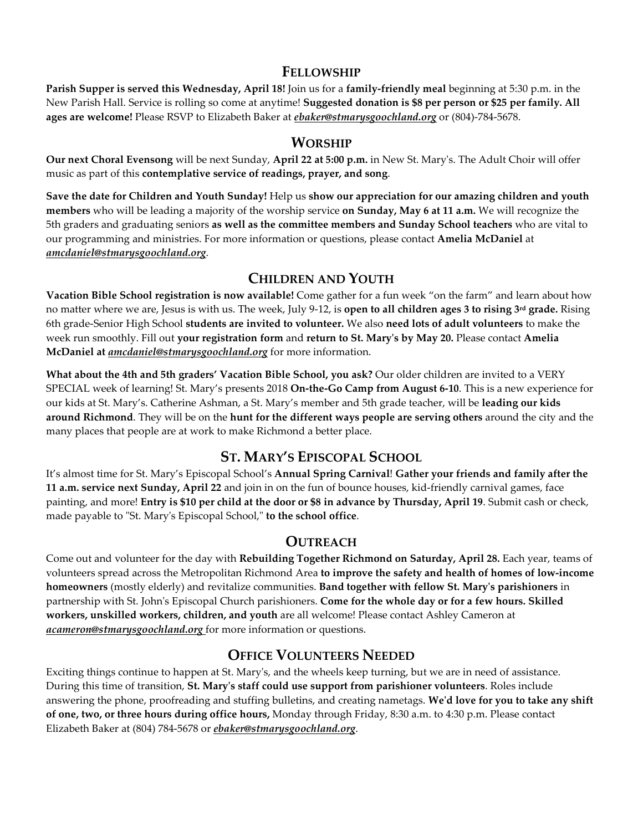#### **FELLOWSHIP**

**Parish Supper is served this Wednesday, April 18!** Join us for a **family-friendly meal** beginning at 5:30 p.m. in the New Parish Hall. Service is rolling so come at anytime! **Suggested donation is \$8 per person or \$25 per family. All ages are welcome!** Please RSVP to Elizabeth Baker at *ebaker@stmarysgoochland.org* or (804)-784-5678.

#### **WORSHIP**

**Our next Choral Evensong** will be next Sunday, **April 22 at 5:00 p.m.** in New St. Mary's. The Adult Choir will offer music as part of this **contemplative service of readings, prayer, and song**.

**Save the date for Children and Youth Sunday!** Help us **show our appreciation for our amazing children and youth members** who will be leading a majority of the worship service **on Sunday, May 6 at 11 a.m.** We will recognize the 5th graders and graduating seniors **as well as the committee members and Sunday School teachers** who are vital to our programming and ministries. For more information or questions, please contact **Amelia McDaniel** at *amcdaniel@stmarysgoochland.org*.

## **CHILDREN AND YOUTH**

**Vacation Bible School registration is now available!** Come gather for a fun week "on the farm" and learn about how no matter where we are, Jesus is with us. The week, July 9-12, is **open to all children ages 3 to rising 3rd grade.** Rising 6th grade-Senior High School **students are invited to volunteer.** We also **need lots of adult volunteers** to make the week run smoothly. Fill out **your registration form** and **return to St. Mary's by May 20.** Please contact **Amelia McDaniel at** *amcdaniel@stmarysgoochland.org* for more information.

**What about the 4th and 5th graders' Vacation Bible School, you ask?** Our older children are invited to a VERY SPECIAL week of learning! St. Mary's presents 2018 **On-the-Go Camp from August 6-10**. This is a new experience for our kids at St. Mary's. Catherine Ashman, a St. Mary's member and 5th grade teacher, will be **leading our kids around Richmond**. They will be on the **hunt for the different ways people are serving others** around the city and the many places that people are at work to make Richmond a better place.

## **ST. MARY'S EPISCOPAL SCHOOL**

It's almost time for St. Mary's Episcopal School's **Annual Spring Carnival**! **Gather your friends and family after the 11 a.m. service next Sunday, April 22** and join in on the fun of bounce houses, kid-friendly carnival games, face painting, and more! **Entry is \$10 per child at the door or \$8 in advance by Thursday, April 19**. Submit cash or check, made payable to "St. Mary's Episcopal School," **to the school office**.

#### **OUTREACH**

Come out and volunteer for the day with **Rebuilding Together Richmond on Saturday, April 28.** Each year, teams of volunteers spread across the Metropolitan Richmond Area **to improve the safety and health of homes of low-income homeowners** (mostly elderly) and revitalize communities. **Band together with fellow St. Mary's parishioners** in partnership with St. John's Episcopal Church parishioners. **Come for the whole day or for a few hours. Skilled workers, unskilled workers, children, and youth** are all welcome! Please contact Ashley Cameron at *acameron@stmarysgoochland.org* for more information or questions.

#### **OFFICE VOLUNTEERS NEEDED**

Exciting things continue to happen at St. Mary's, and the wheels keep turning, but we are in need of assistance. During this time of transition, **St. Mary's staff could use support from parishioner volunteers**. Roles include answering the phone, proofreading and stuffing bulletins, and creating nametags. **We'd love for you to take any shift of one, two, or three hours during office hours,** Monday through Friday, 8:30 a.m. to 4:30 p.m. Please contact Elizabeth Baker at (804) 784-5678 or *ebaker@stmarysgoochland.org*.